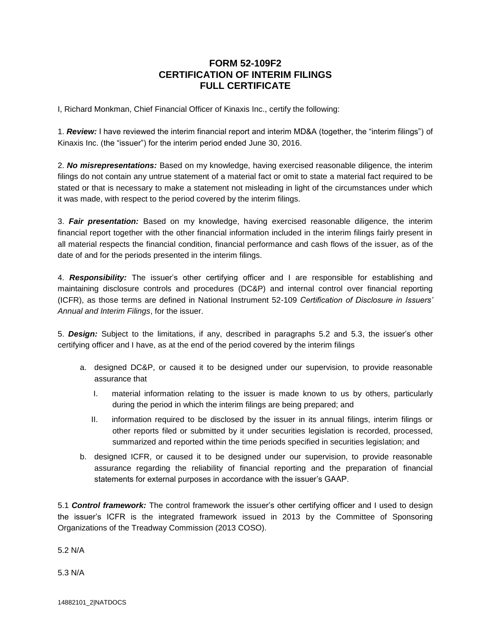## **FORM 52-109F2 CERTIFICATION OF INTERIM FILINGS FULL CERTIFICATE**

I, Richard Monkman, Chief Financial Officer of Kinaxis Inc., certify the following:

1. *Review:* I have reviewed the interim financial report and interim MD&A (together, the "interim filings") of Kinaxis Inc. (the "issuer") for the interim period ended June 30, 2016.

2. *No misrepresentations:* Based on my knowledge, having exercised reasonable diligence, the interim filings do not contain any untrue statement of a material fact or omit to state a material fact required to be stated or that is necessary to make a statement not misleading in light of the circumstances under which it was made, with respect to the period covered by the interim filings.

3. *Fair presentation:* Based on my knowledge, having exercised reasonable diligence, the interim financial report together with the other financial information included in the interim filings fairly present in all material respects the financial condition, financial performance and cash flows of the issuer, as of the date of and for the periods presented in the interim filings.

4. *Responsibility:* The issuer's other certifying officer and I are responsible for establishing and maintaining disclosure controls and procedures (DC&P) and internal control over financial reporting (ICFR), as those terms are defined in National Instrument 52-109 *Certification of Disclosure in Issuers' Annual and Interim Filings*, for the issuer.

5. *Design:* Subject to the limitations, if any, described in paragraphs 5.2 and 5.3, the issuer's other certifying officer and I have, as at the end of the period covered by the interim filings

- a. designed DC&P, or caused it to be designed under our supervision, to provide reasonable assurance that
	- I. material information relating to the issuer is made known to us by others, particularly during the period in which the interim filings are being prepared; and
	- II. information required to be disclosed by the issuer in its annual filings, interim filings or other reports filed or submitted by it under securities legislation is recorded, processed, summarized and reported within the time periods specified in securities legislation; and
- b. designed ICFR, or caused it to be designed under our supervision, to provide reasonable assurance regarding the reliability of financial reporting and the preparation of financial statements for external purposes in accordance with the issuer's GAAP.

5.1 *Control framework:* The control framework the issuer's other certifying officer and I used to design the issuer's ICFR is the integrated framework issued in 2013 by the Committee of Sponsoring Organizations of the Treadway Commission (2013 COSO).

5.2 N/A

5.3 N/A